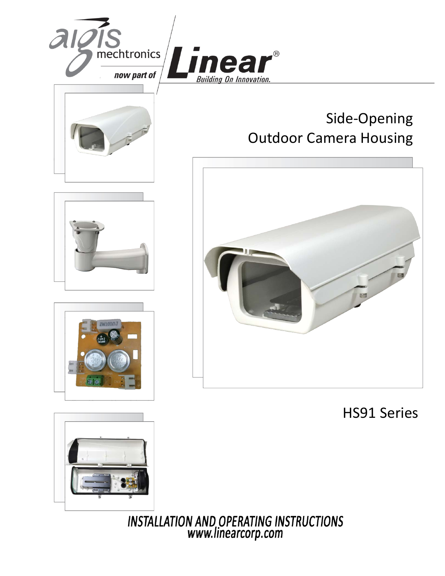

# Side-Opening Outdoor Camera Housing







HS91 Series



INSTALLATION AND OPERATING INSTRUCTIONS<br>www.linearcorp.com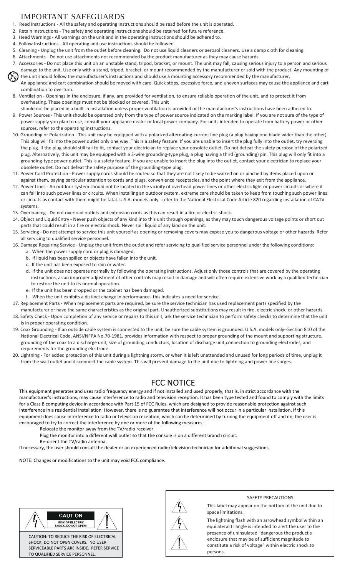# IMPORTANT SAFEGUARDS

- 1. Read Instructions All the safety and operating instructions should be read before the unit is operated.
- 2. Retain Instructions The safety and operating instructions should be retained for future reference.
- 3. Heed Warnings All warnings on the unit and in the operating instructions should be adhered to.
- 4. Follow Instructions All operating and use instructions should be followed.
- 5. Cleaning Unplug the unit from the outlet before cleaning. Do not use liquid cleaners or aerosol cleaners. Use a damp cloth for cleaning.
- 6. Attachments Do not use attachments not recommended by the product manufacturer as they may cause hazards.
- 7. Accessories Do not place this unit on an unstable stand, tripod, bracket, or mount. The unit may fall, causing serious injury to a person and serious damage to the unit. Use only with a stand, tripod, bracket, or mount recommended by the manufacturer or sold with the product. Any mounting of the unit should follow the manufacturer's instructions and should use a mounting accessory recommended by the manufacturer.
- An appliance and cart combination should be moved with care. Quick stops, excessive force, and uneven surfaces may cause the appliance and cart combination to overturn.
- 8. Ventilation Openings in the enclosure, if any, are provided for ventilation, to ensure reliable operation of the unit, and to protect it from overheating. These openings must not be blocked or covered. This unit
- should not be placed in a built-in installation unless proper ventilation is provided or the manufacturer's instructions have been adhered to. 9. Power Sources - This unit should be operated only from the type of power source indicated on the marking label. If you are not sure of the type of power supply you plan to use, consult your appliance dealer or local power company. For units intended to operate from battery power or other sources, refer to the operating instructions.
- 10. Grounding or Polarization This unit may be equipped with a polarized alternating-current line plug (a plug having one blade wider than the other). This plug will fit into the power outlet only one way. This is a safety feature. If you are unable to insert the plug fully into the outlet, try reversing the plug. If the plug should still fail to fit, contact your electrician to replace your obsolete outlet. Do not defeat the safety purpose of the polarized plug. Alternatively, this unit may be equipped with a 3-wire grounding-type plug, a plug having a third (grounding) pin. This plug will only fit into a grounding-type power outlet. This is a safety feature. If you are unable to insert the plug into the outlet, contact your electrician to replace your obsolete outlet. Do not defeat the safety purpose of the grounding-type plug.
- 11. Power Cord Protection Power supply cords should be routed so that they are not likely to be walked on or pinched by items placed upon or against them, paying particular attention to cords and plugs, convenience receptacles, and the point where they exit from the appliance.
- 12. Power Lines An outdoor system should not be located in the vicinity of overhead power lines or other electric light or power circuits or where it can fall into such power lines or circuits. When installing an outdoor system, extreme care should be taken to keep from touching such power lines or circuits as contact with them might be fatal. U.S.A. models only - refer to the National Electrical Code Article 820 regarding installation of CATV systems.
- 13. Overloading Do not overload outlets and extension cords as this can result in a fire or electric shock.
- 14. Object and Liquid Entry Never push objects of any kind into this unit through openings, as they may touch dangerous voltage points or short out parts that could result in a fire or electric shock. Never spill liquid of any kind on the unit.
- 15. Servicing Do not attempt to service this unit yourself as opening or removing covers may expose you to dangerous voltage or other hazards. Refer all servicing to qualified service personnel.
- 16. Damage Requiring Service Unplug the unit from the outlet and refer servicing to qualified service personnel under the following conditions:
	- a. When the power supply cord or plug is damaged.
	- b. If liquid has been spilled or objects have fallen into the unit.
	- c. If the unit has been exposed to rain or water.
	- d. If the unit does not operate normally by following the operating instructions. Adjust only those controls that are covered by the operating instructions, as an improper adjustment of other controls may result in damage and will often require extensive work by a qualified technician to restore the unit to its normal operation.
	- e. If the unit has been dropped or the cabinet has been damaged.
	- f. When the unit exhibits a distinct change in performance--this indicates a need for service.
- 17. Replacement Parts When replacement parts are required, be sure the service technician has used replacement parts specified by the
- manufacturer or have the same characteristics as the original part. Unauthorized substitutions may result in fire, electric shock, or other hazards. 18. Safety Check - Upon completion of any service or repairs to this unit, ask the service technician to perform safety checks to determine that the unit is in proper operating condition.
- 19. Coax Grounding If an outside cable system is connected to the unit, be sure the cable system is grounded. U.S.A. models only--Section 810 of the National Electrical Code, ANSI/NFPA No.70-1981, provides information with respect to proper grounding of the mount and supporting structure, grounding of the coax to a discharge unit, size of grounding conductors, location of discharge unit,connection to grounding electrodes, and requirements for the grounding electrode.
- 20. Lightning For added protection of this unit during a lightning storm, or when it is left unattended and unused for long periods of time, unplug it from the wall outlet and disconnect the cable system. This will prevent damage to the unit due to lightning and power line surges.

## FCC NOTICE

This equipment generates and uses radio frequency energy and if not installed and used properly, that is, in strict accordance with the manufacturer's instructions, may cause interference to radio and television reception. It has been type tested and found to comply with the limits for a Class B computing device in accordance with Part 15 of FCC Rules, which are designed to provide reasonable protection against such interference in a residential installation. However, there is no guarantee that interference will not occur in a particular installation. If this equipment does cause interference to radio or television reception, which can be determined by turning the equipment off and on, the user is encouraged to try to correct the interference by one or more of the following measures:

- Relocate the monitor away from the TV/radio receiver.
	- Plug the monitor into a different wall outlet so that the console is on a different branch circuit.
		- Re-orient the TV/radio antenna.

If necessary, the user should consult the dealer or an experienced radio/television technician for additional suggestions.

NOTE: Changes or modifications to the unit may void FCC compliance.





#### SAFETY PRECAUTIONS

This label may appear on the bottom of the unit due to space limitations.

The lightning flash with an arrowhead symbol within an equilateral triangle is intended to alert the user to the presence of uninsulated "dangerous the product's enclosure that may be of sufficient magnitude to constitute a risk of voltage" within electric shock to persons.

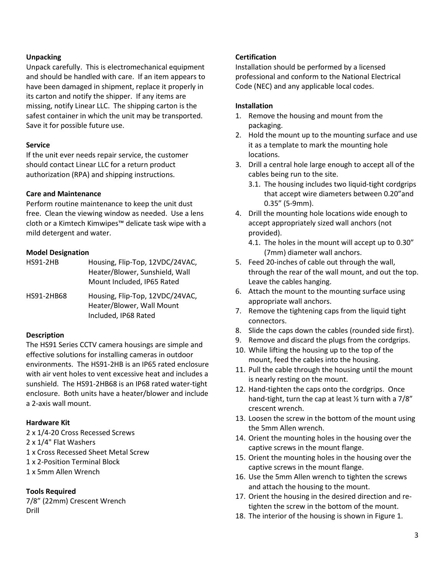#### **Unpacking**

Unpack carefully. This is electromechanical equipment and should be handled with care. If an item appears to have been damaged in shipment, replace it properly in its carton and notify the shipper. If any items are missing, notify Linear LLC. The shipping carton is the safest container in which the unit may be transported. Save it for possible future use.

#### **Service**

If the unit ever needs repair service, the customer should contact Linear LLC for a return product authorization (RPA) and shipping instructions.

#### **Care and Maintenance**

Perform routine maintenance to keep the unit dust free. Clean the viewing window as needed. Use a lens cloth or a Kimtech Kimwipes™ delicate task wipe with a mild detergent and water.

#### **Model Designation**

| <b>HS91-2HB</b> | Housing, Flip-Top, 12VDC/24VAC,<br>Heater/Blower, Sunshield, Wall<br>Mount Included, IP65 Rated |
|-----------------|-------------------------------------------------------------------------------------------------|
| HS91-2HB68      | Housing, Flip-Top, 12VDC/24VAC,<br>Heater/Blower, Wall Mount<br>Included, IP68 Rated            |

### **Description**

The HS91 Series CCTV camera housings are simple and effective solutions for installing cameras in outdoor environments. The HS91-2HB is an IP65 rated enclosure with air vent holes to vent excessive heat and includes a sunshield. The HS91-2HB68 is an IP68 rated water-tight enclosure. Both units have a heater/blower and include a 2-axis wall mount.

#### **Hardware Kit**

2 x 1/4-20 Cross Recessed Screws 2 x 1/4" Flat Washers 1 x Cross Recessed Sheet Metal Screw 1 x 2-Position Terminal Block 1 x 5mm Allen Wrench

### **Tools Required**

7/8" (22mm) Crescent Wrench Drill

### **Certification**

Installation should be performed by a licensed professional and conform to the National Electrical Code (NEC) and any applicable local codes.

### **Installation**

- 1. Remove the housing and mount from the packaging.
- 2. Hold the mount up to the mounting surface and use it as a template to mark the mounting hole locations.
- 3. Drill a central hole large enough to accept all of the cables being run to the site.
	- 3.1. The housing includes two liquid-tight cordgrips that accept wire diameters between 0.20"and 0.35" (5-9mm).
- 4. Drill the mounting hole locations wide enough to accept appropriately sized wall anchors (not provided).
	- 4.1. The holes in the mount will accept up to 0.30" (7mm) diameter wall anchors.
- 5. Feed 20-inches of cable out through the wall, through the rear of the wall mount, and out the top. Leave the cables hanging.
- 6. Attach the mount to the mounting surface using appropriate wall anchors.
- 7. Remove the tightening caps from the liquid tight connectors.
- 8. Slide the caps down the cables (rounded side first).
- 9. Remove and discard the plugs from the cordgrips.
- 10. While lifting the housing up to the top of the mount, feed the cables into the housing.
- 11. Pull the cable through the housing until the mount is nearly resting on the mount.
- 12. Hand-tighten the caps onto the cordgrips. Once hand-tight, turn the cap at least ½ turn with a 7/8" crescent wrench.
- 13. Loosen the screw in the bottom of the mount using the 5mm Allen wrench.
- 14. Orient the mounting holes in the housing over the captive screws in the mount flange.
- 15. Orient the mounting holes in the housing over the captive screws in the mount flange.
- 16. Use the 5mm Allen wrench to tighten the screws and attach the housing to the mount.
- 17. Orient the housing in the desired direction and retighten the screw in the bottom of the mount.
- 18. The interior of the housing is shown in Figure 1.